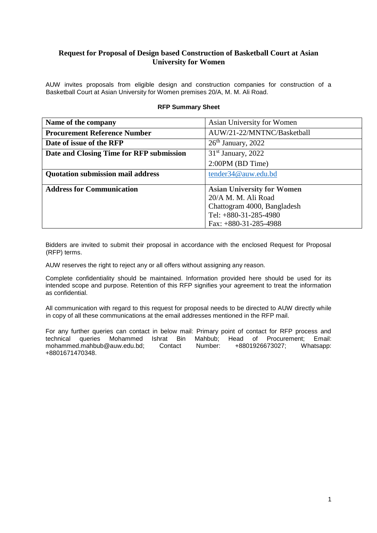## **Request for Proposal of Design based Construction of Basketball Court at Asian University for Women**

AUW invites proposals from eligible design and construction companies for construction of a Basketball Court at Asian University for Women premises 20/A, M. M. Ali Road.

| Name of the company                                                   | Asian University for Women  |  |
|-----------------------------------------------------------------------|-----------------------------|--|
| <b>Procurement Reference Number</b>                                   | AUW/21-22/MNTNC/Basketball  |  |
| Date of issue of the RFP                                              | $26th$ January, 2022        |  |
| Date and Closing Time for RFP submission                              | $31st$ January, 2022        |  |
|                                                                       | 2:00PM (BD Time)            |  |
| <b>Quotation submission mail address</b>                              | tender34@auw.edu.bd         |  |
| <b>Address for Communication</b><br><b>Asian University for Women</b> |                             |  |
|                                                                       | 20/A M. M. Ali Road         |  |
|                                                                       | Chattogram 4000, Bangladesh |  |
|                                                                       | Tel: $+880-31-285-4980$     |  |
|                                                                       | Fax: $+880-31-285-4988$     |  |

#### **RFP Summary Sheet**

Bidders are invited to submit their proposal in accordance with the enclosed Request for Proposal (RFP) terms.

AUW reserves the right to reject any or all offers without assigning any reason.

Complete confidentiality should be maintained. Information provided here should be used for its intended scope and purpose. Retention of this RFP signifies your agreement to treat the information as confidential.

All communication with regard to this request for proposal needs to be directed to AUW directly while in copy of all these communications at the email addresses mentioned in the RFP mail.

For any further queries can contact in below mail: Primary point of contact for RFP process and technical queries Mohammed Ishrat Bin Mahbub: Head of Procurement: Email: technical queries Mohammed Ishrat Bin Mahbub; Head of Procurement; Email: [mohammed.mahbub@auw.edu.bd;](mailto:mohammed.mahbub@auw.edu.bd) Contact Number: +8801926673027; Whatsapp: +8801671470348.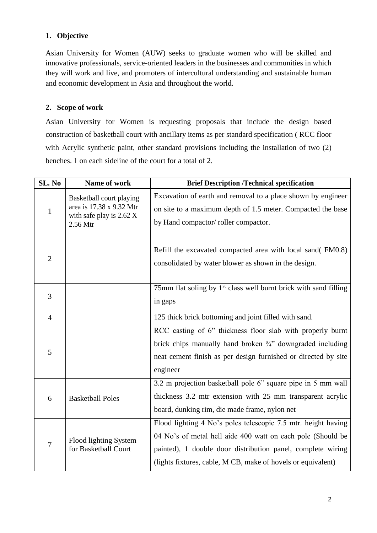## **1. Objective**

Asian University for Women (AUW) seeks to graduate women who will be skilled and innovative professionals, service-oriented leaders in the businesses and communities in which they will work and live, and promoters of intercultural understanding and sustainable human and economic development in Asia and throughout the world.

# **2. Scope of work**

Asian University for Women is requesting proposals that include the design based construction of basketball court with ancillary items as per standard specification ( RCC floor with Acrylic synthetic paint, other standard provisions including the installation of two (2) benches. 1 on each sideline of the court for a total of 2.

| SL. No         | Name of work                                                                                           | <b>Brief Description /Technical specification</b>                                                                                                                                                                                                           |  |
|----------------|--------------------------------------------------------------------------------------------------------|-------------------------------------------------------------------------------------------------------------------------------------------------------------------------------------------------------------------------------------------------------------|--|
| $\mathbf{1}$   | Basketball court playing<br>area is 17.38 x 9.32 Mtr<br>with safe play is $2.62 \text{ X}$<br>2.56 Mtr | Excavation of earth and removal to a place shown by engineer<br>on site to a maximum depth of 1.5 meter. Compacted the base<br>by Hand compactor/roller compactor.                                                                                          |  |
| $\overline{2}$ |                                                                                                        | Refill the excavated compacted area with local sand(FM0.8)<br>consolidated by water blower as shown in the design.                                                                                                                                          |  |
| 3              |                                                                                                        | 75mm flat soling by 1 <sup>st</sup> class well burnt brick with sand filling<br>in gaps                                                                                                                                                                     |  |
| $\overline{4}$ |                                                                                                        | 125 thick brick bottoming and joint filled with sand.                                                                                                                                                                                                       |  |
| 5              |                                                                                                        | RCC casting of 6" thickness floor slab with properly burnt<br>brick chips manually hand broken $\frac{3}{4}$ " downgraded including<br>neat cement finish as per design furnished or directed by site<br>engineer                                           |  |
| 6              | <b>Basketball Poles</b>                                                                                | 3.2 m projection basketball pole 6" square pipe in 5 mm wall<br>thickness 3.2 mtr extension with 25 mm transparent acrylic<br>board, dunking rim, die made frame, nylon net                                                                                 |  |
| 7              | Flood lighting System<br>for Basketball Court                                                          | Flood lighting 4 No's poles telescopic 7.5 mtr. height having<br>04 No's of metal hell aide 400 watt on each pole (Should be<br>painted), 1 double door distribution panel, complete wiring<br>(lights fixtures, cable, M CB, make of hovels or equivalent) |  |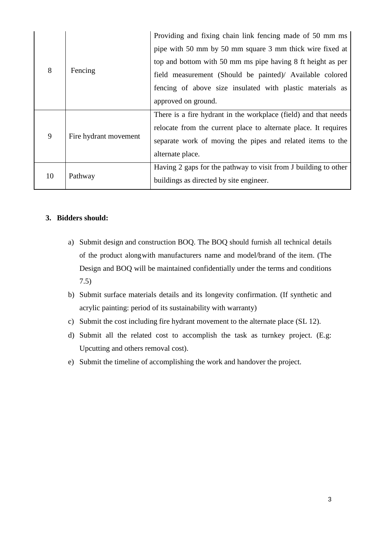| 8  | Fencing               | Providing and fixing chain link fencing made of 50 mm ms        |
|----|-----------------------|-----------------------------------------------------------------|
|    |                       | pipe with 50 mm by 50 mm square 3 mm thick wire fixed at        |
|    |                       | top and bottom with 50 mm ms pipe having 8 ft height as per     |
|    |                       | field measurement (Should be painted)/ Available colored        |
|    |                       | fencing of above size insulated with plastic materials as       |
|    |                       | approved on ground.                                             |
| 9  | Fire hydrant movement | There is a fire hydrant in the workplace (field) and that needs |
|    |                       | relocate from the current place to alternate place. It requires |
|    |                       | separate work of moving the pipes and related items to the      |
|    |                       | alternate place.                                                |
| 10 | Pathway               | Having 2 gaps for the pathway to visit from J building to other |
|    |                       | buildings as directed by site engineer.                         |

#### **3. Bidders should:**

- a) Submit design and construction BOQ. The BOQ should furnish all technical details of the product alongwith manufacturers name and model/brand of the item. (The Design and BOQ will be maintained confidentially under the terms and conditions 7.5)
- b) Submit surface materials details and its longevity confirmation. (If synthetic and acrylic painting: period of its sustainability with warranty)
- c) Submit the cost including fire hydrant movement to the alternate place (SL 12).
- d) Submit all the related cost to accomplish the task as turnkey project. (E.g: Upcutting and others removal cost).
- e) Submit the timeline of accomplishing the work and handover the project.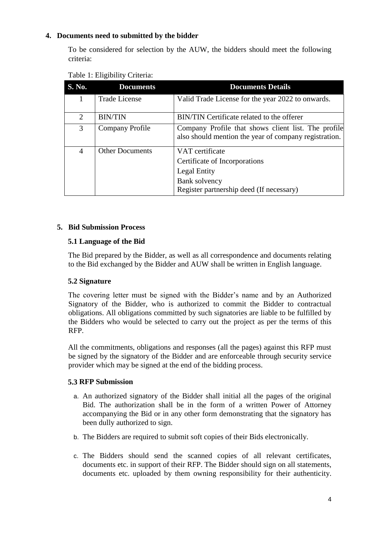## **4. Documents need to submitted by the bidder**

To be considered for selection by the AUW, the bidders should meet the following criteria:

| S. No. | <b>Documents</b>       | <b>Documents Details</b>                                                                                     |  |
|--------|------------------------|--------------------------------------------------------------------------------------------------------------|--|
|        | <b>Trade License</b>   | Valid Trade License for the year 2022 to onwards.                                                            |  |
| 2      | <b>BIN/TIN</b>         | BIN/TIN Certificate related to the offerer                                                                   |  |
| 3      | Company Profile        | Company Profile that shows client list. The profile<br>also should mention the year of company registration. |  |
| 4      | <b>Other Documents</b> | VAT certificate                                                                                              |  |
|        |                        | Certificate of Incorporations                                                                                |  |
|        |                        | Legal Entity                                                                                                 |  |
|        |                        | Bank solvency                                                                                                |  |
|        |                        | Register partnership deed (If necessary)                                                                     |  |

|  |  | Table 1: Eligibility Criteria: |  |
|--|--|--------------------------------|--|
|--|--|--------------------------------|--|

## **5. Bid Submission Process**

## **5.1 Language of the Bid**

The Bid prepared by the Bidder, as well as all correspondence and documents relating to the Bid exchanged by the Bidder and AUW shall be written in English language.

## **5.2 Signature**

The covering letter must be signed with the Bidder's name and by an Authorized Signatory of the Bidder, who is authorized to commit the Bidder to contractual obligations. All obligations committed by such signatories are liable to be fulfilled by the Bidders who would be selected to carry out the project as per the terms of this RFP.

All the commitments, obligations and responses (all the pages) against this RFP must be signed by the signatory of the Bidder and are enforceable through security service provider which may be signed at the end of the bidding process.

## **5.3 RFP Submission**

- a. An authorized signatory of the Bidder shall initial all the pages of the original Bid. The authorization shall be in the form of a written Power of Attorney accompanying the Bid or in any other form demonstrating that the signatory has been dully authorized to sign.
- b. The Bidders are required to submit soft copies of their Bids electronically.
- c. The Bidders should send the scanned copies of all relevant certificates, documents etc. in support of their RFP. The Bidder should sign on all statements, documents etc. uploaded by them owning responsibility for their authenticity.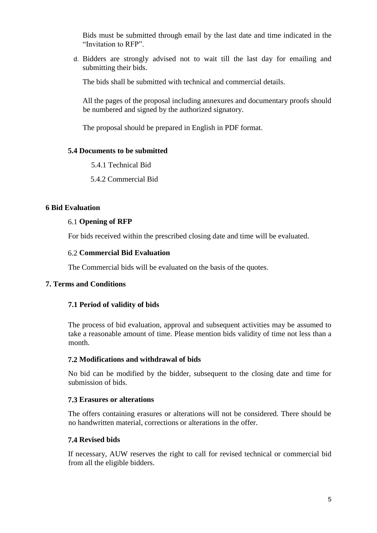Bids must be submitted through email by the last date and time indicated in the "Invitation to RFP".

d. Bidders are strongly advised not to wait till the last day for emailing and submitting their bids.

The bids shall be submitted with technical and commercial details.

All the pages of the proposal including annexures and documentary proofs should be numbered and signed by the authorized signatory.

The proposal should be prepared in English in PDF format.

## **5.4 Documents to be submitted**

5.4.1 Technical Bid

5.4.2 Commercial Bid

## **6 Bid Evaluation**

## 6.1 **Opening of RFP**

For bids received within the prescribed closing date and time will be evaluated.

## 6.2 **Commercial Bid Evaluation**

The Commercial bids will be evaluated on the basis of the quotes.

## **7. Terms and Conditions**

## **7.1 Period of validity of bids**

The process of bid evaluation, approval and subsequent activities may be assumed to take a reasonable amount of time. Please mention bids validity of time not less than a month.

## **7.2 Modifications and withdrawal of bids**

No bid can be modified by the bidder, subsequent to the closing date and time for submission of bids.

## **7.3 Erasures or alterations**

The offers containing erasures or alterations will not be considered. There should be no handwritten material, corrections or alterations in the offer.

## **7.4 Revised bids**

If necessary, AUW reserves the right to call for revised technical or commercial bid from all the eligible bidders.